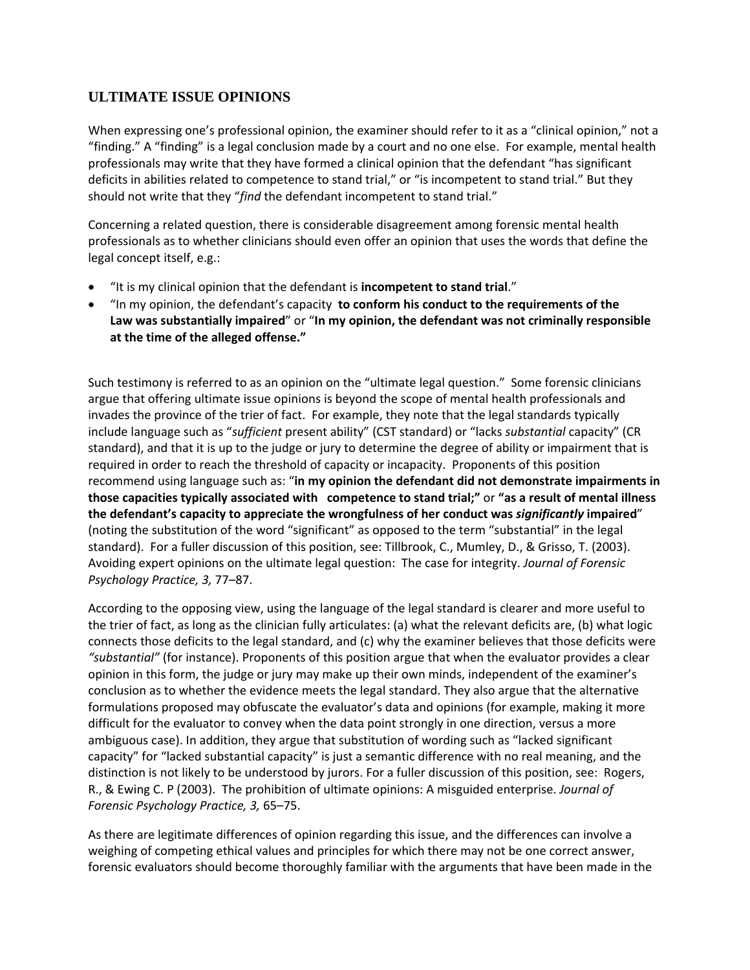## **ULTIMATE ISSUE OPINIONS**

When expressing one's professional opinion, the examiner should refer to it as a "clinical opinion," not a "finding." A "finding" is a legal conclusion made by a court and no one else. For example, mental health professionals may write that they have formed a clinical opinion that the defendant "has significant deficits in abilities related to competence to stand trial," or "is incompetent to stand trial." But they should not write that they "*find* the defendant incompetent to stand trial."

Concerning a related question, there is considerable disagreement among forensic mental health professionals as to whether clinicians should even offer an opinion that uses the words that define the legal concept itself, e.g.:

- "It is my clinical opinion that the defendant is **incompetent to stand trial**."
- "In my opinion, the defendant's capacity **to conform his conduct to the requirements of the Law was substantially impaired**" or "**In my opinion, the defendant was not criminally responsible at the time of the alleged offense."**

Such testimony is referred to as an opinion on the "ultimate legal question." Some forensic clinicians argue that offering ultimate issue opinions is beyond the scope of mental health professionals and invades the province of the trier of fact. For example, they note that the legal standards typically include language such as "*sufficient* present ability" (CST standard) or "lacks *substantial* capacity" (CR standard), and that it is up to the judge or jury to determine the degree of ability or impairment that is required in order to reach the threshold of capacity or incapacity. Proponents of this position recommend using language such as: "**in my opinion the defendant did not demonstrate impairments in those capacities typically associated with competence to stand trial;"** or **"as a result of mental illness the defendant's capacity to appreciate the wrongfulness of her conduct was** *significantly* **impaired**" (noting the substitution of the word "significant" as opposed to the term "substantial" in the legal standard). For a fuller discussion of this position, see: Tillbrook, C., Mumley, D., & Grisso, T. (2003). Avoiding expert opinions on the ultimate legal question: The case for integrity. *Journal of Forensic Psychology Practice, 3,* 77–87.

According to the opposing view, using the language of the legal standard is clearer and more useful to the trier of fact, as long as the clinician fully articulates: (a) what the relevant deficits are, (b) what logic connects those deficits to the legal standard, and (c) why the examiner believes that those deficits were *"substantial"* (for instance). Proponents of this position argue that when the evaluator provides a clear opinion in this form, the judge or jury may make up their own minds, independent of the examiner's conclusion as to whether the evidence meets the legal standard. They also argue that the alternative formulations proposed may obfuscate the evaluator's data and opinions (for example, making it more difficult for the evaluator to convey when the data point strongly in one direction, versus a more ambiguous case). In addition, they argue that substitution of wording such as "lacked significant capacity" for "lacked substantial capacity" is just a semantic difference with no real meaning, and the distinction is not likely to be understood by jurors. For a fuller discussion of this position, see: Rogers, R., & Ewing C. P (2003). The prohibition of ultimate opinions: A misguided enterprise. *Journal of Forensic Psychology Practice, 3,* 65–75.

As there are legitimate differences of opinion regarding this issue, and the differences can involve a weighing of competing ethical values and principles for which there may not be one correct answer, forensic evaluators should become thoroughly familiar with the arguments that have been made in the